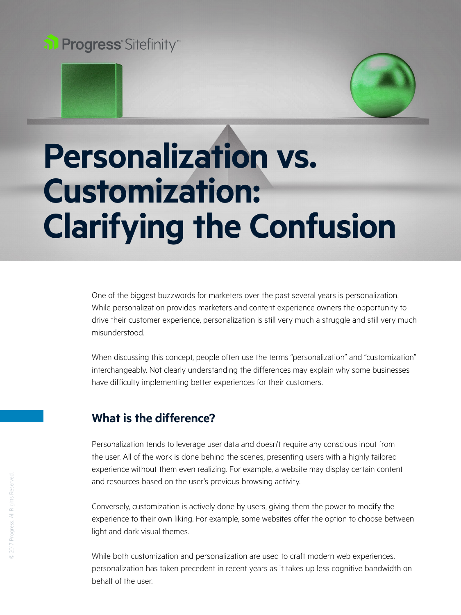



# **Personalization vs. Customization: Clarifying the Confusion**

One of the biggest buzzwords for marketers over the past several years is personalization. While personalization provides marketers and content experience owners the opportunity to drive their customer experience, personalization is still very much a struggle and still very much misunderstood.

When discussing this concept, people often use the terms "personalization" and "customization" interchangeably. Not clearly understanding the differences may explain why some businesses have difficulty implementing better experiences for their customers.

# **What is the difference?**

Personalization tends to leverage user data and doesn't require any conscious input from the user. All of the work is done behind the scenes, presenting users with a highly tailored experience without them even realizing. For example, a website may display certain content and resources based on the user's previous browsing activity.

Conversely, customization is actively done by users, giving them the power to modify the experience to their own liking. For example, some websites offer the option to choose between light and dark visual themes.

While both customization and personalization are used to craft modern web experiences, personalization has taken precedent in recent years as it takes up less cognitive bandwidth on behalf of the user.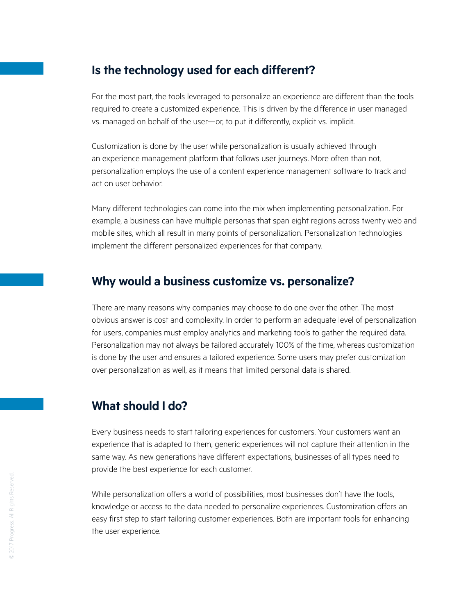### **Is the technology used for each different?**

For the most part, the tools leveraged to personalize an experience are different than the tools required to create a customized experience. This is driven by the difference in user managed vs. managed on behalf of the user—or, to put it differently, explicit vs. implicit.

Customization is done by the user while personalization is usually achieved through an experience management platform that follows user journeys. More often than not, personalization employs the use of a content experience management software to track and act on user behavior.

Many different technologies can come into the mix when implementing personalization. For example, a business can have multiple personas that span eight regions across twenty web and mobile sites, which all result in many points of personalization. Personalization technologies implement the different personalized experiences for that company.

## **Why would a business customize vs. personalize?**

There are many reasons why companies may choose to do one over the other. The most obvious answer is cost and complexity. In order to perform an adequate level of personalization for users, companies must employ analytics and marketing tools to gather the required data. Personalization may not always be tailored accurately 100% of the time, whereas customization is done by the user and ensures a tailored experience. Some users may prefer customization over personalization as well, as it means that limited personal data is shared.

## **What should I do?**

Every business needs to start tailoring experiences for customers. Your customers want an experience that is adapted to them, generic experiences will not capture their attention in the same way. As new generations have different expectations, businesses of all types need to provide the best experience for each customer.

While personalization offers a world of possibilities, most businesses don't have the tools, knowledge or access to the data needed to personalize experiences. Customization offers an easy first step to start tailoring customer experiences. Both are important tools for enhancing the user experience.